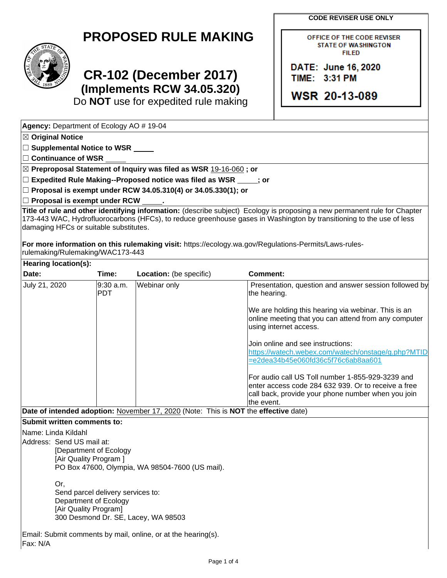**CODE REVISER USE ONLY**

OFFICE OF THE CODE REVISER **STATE OF WASHINGTON FILED** 

DATE: June 16, 2020

**WSR 20-13-089** 

TIME: 3:31 PM

**PROPOSED RULE MAKING**



☒ **Original Notice**

**Agency:** Department of Ecology AO # 19-04

☐ **Supplemental Notice to WSR**

## **CR-102 (December 2017) (Implements RCW 34.05.320)**

Do **NOT** use for expedited rule making

☐ **Continuance of WSR** ☒ **Preproposal Statement of Inquiry was filed as WSR** 19-16-060 **; or** ☐ **Expedited Rule Making--Proposed notice was filed as WSR ; or** ☐ **Proposal is exempt under RCW 34.05.310(4) or 34.05.330(1); or** ☐ **Proposal is exempt under RCW . Title of rule and other identifying information:** (describe subject) Ecology is proposing a new permanent rule for Chapter 173-443 WAC, Hydrofluorocarbons (HFCs), to reduce greenhouse gases in Washington by transitioning to the use of less damaging HFCs or suitable substitutes. **For more information on this rulemaking visit:** https://ecology.wa.gov/Regulations-Permits/Laws-rulesrulemaking/Rulemaking/WAC173-443 **Hearing location(s): Date: Time: Location:** (be specific) **Comment:** July 21, 2020 9:30 a.m. **PDT** Webinar only **Presentation, question and answer session followed by** Presentation, question and answer session followed by the hearing. We are holding this hearing via webinar. This is an online meeting that you can attend from any computer using internet access. Join online and see instructions: [https://watech.webex.com/watech/onstage/g.php?MTID](https://watech.webex.com/watech/onstage/g.php?MTID=e2dea34b45e060fd36c5f76c6ab8aa601) [=e2dea34b45e060fd36c5f76c6ab8aa601](https://watech.webex.com/watech/onstage/g.php?MTID=e2dea34b45e060fd36c5f76c6ab8aa601) For audio call US Toll number 1-855-929-3239 and enter access code 284 632 939. Or to receive a free call back, provide your phone number when you join the event. **Date of intended adoption:** November 17, 2020 (Note: This is **NOT** the **effective** date) **Submit written comments to:** Name: Linda Kildahl Address: Send US mail at: [Department of Ecology [Air Quality Program ] PO Box 47600, Olympia, WA 98504-7600 (US mail). Or, Send parcel delivery services to: Department of Ecology [Air Quality Program] 300 Desmond Dr. SE, Lacey, WA 98503

Email: Submit comments by mail, online, or at the hearing(s). Fax: N/A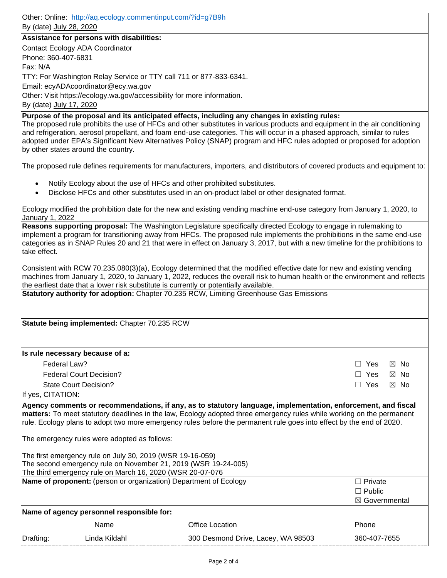Other: Online: <http://aq.ecology.commentinput.com/?id=g7B9h> By (date) July 28, 2020 **Assistance for persons with disabilities:** Contact Ecology ADA Coordinator Phone: 360-407-6831 Fax: N/A TTY: For Washington Relay Service or TTY call 711 or 877-833-6341. Email: ecyADAcoordinator@ecy.wa.gov Other: Visit https://ecology.wa.gov/accessibility for more information. By (date) July 17, 2020 **Purpose of the proposal and its anticipated effects, including any changes in existing rules:**  The proposed rule prohibits the use of HFCs and other substitutes in various products and equipment in the air conditioning and refrigeration, aerosol propellant, and foam end-use categories. This will occur in a phased approach, similar to rules adopted under EPA's Significant New Alternatives Policy (SNAP) program and HFC rules adopted or proposed for adoption by other states around the country. The proposed rule defines requirements for manufacturers, importers, and distributors of covered products and equipment to: • Notify Ecology about the use of HFCs and other prohibited substitutes. • Disclose HFCs and other substitutes used in an on-product label or other designated format. Ecology modified the prohibition date for the new and existing vending machine end-use category from January 1, 2020, to January 1, 2022 **Reasons supporting proposal:** The Washington Legislature specifically directed Ecology to engage in rulemaking to implement a program for transitioning away from HFCs. The proposed rule implements the prohibitions in the same end-use categories as in SNAP Rules 20 and 21 that were in effect on January 3, 2017, but with a new timeline for the prohibitions to take effect. Consistent with RCW 70.235.080(3)(a), Ecology determined that the modified effective date for new and existing vending machines from January 1, 2020, to January 1, 2022, reduces the overall risk to human health or the environment and reflects the earliest date that a lower risk substitute is currently or potentially available. **Statutory authority for adoption:** Chapter 70.235 RCW, Limiting Greenhouse Gas Emissions **Statute being implemented:** Chapter 70.235 RCW **Is rule necessary because of a:** Federal Law?  $\Box$  Yes  $\boxtimes$  No. Federal Court Decision?  $\Box$  Yes  $\boxtimes$  No. State Court Decision? ☐ Yes ☒ No If yes, CITATION: **Agency comments or recommendations, if any, as to statutory language, implementation, enforcement, and fiscal matters:** To meet statutory deadlines in the law, Ecology adopted three emergency rules while working on the permanent rule. Ecology plans to adopt two more emergency rules before the permanent rule goes into effect by the end of 2020. The emergency rules were adopted as follows: The first emergency rule on July 30, 2019 (WSR 19-16-059) The second emergency rule on November 21, 2019 (WSR 19-24-005) The third emergency rule on March 16, 2020 (WSR 20-07-076 **Name of proponent:** (person or organization) Department of Ecology **Ⅰ Private** □ Private ☐ Public ☒ Governmental **Name of agency personnel responsible for:** Name **Office Location Phone** Phone Drafting: Linda Kildahl 300 Desmond Drive, Lacey, WA 98503 360-407-7655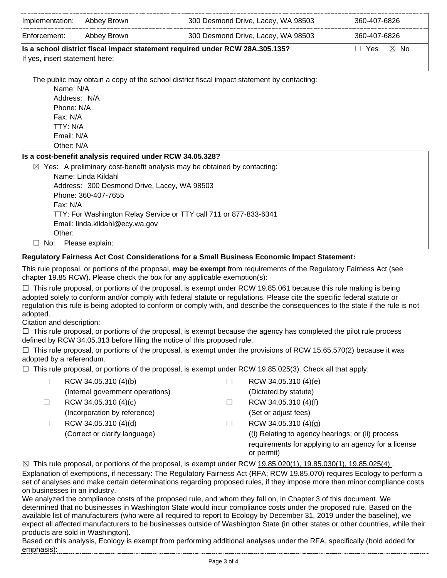| Implementation:                                                                                                                                                                                                                                                                                                                                                                                   | Abbey Brown                                                                                                                                                                                                                                          |        | 300 Desmond Drive, Lacey, WA 98503                | 360-407-6826                                         |  |
|---------------------------------------------------------------------------------------------------------------------------------------------------------------------------------------------------------------------------------------------------------------------------------------------------------------------------------------------------------------------------------------------------|------------------------------------------------------------------------------------------------------------------------------------------------------------------------------------------------------------------------------------------------------|--------|---------------------------------------------------|------------------------------------------------------|--|
| Enforcement:                                                                                                                                                                                                                                                                                                                                                                                      | Abbey Brown                                                                                                                                                                                                                                          |        | 300 Desmond Drive, Lacey, WA 98503                | 360-407-6826                                         |  |
| Is a school district fiscal impact statement required under RCW 28A.305.135?<br>$\Box$ Yes<br>$\boxtimes$ No<br>If yes, insert statement here:                                                                                                                                                                                                                                                    |                                                                                                                                                                                                                                                      |        |                                                   |                                                      |  |
| The public may obtain a copy of the school district fiscal impact statement by contacting:                                                                                                                                                                                                                                                                                                        |                                                                                                                                                                                                                                                      |        |                                                   |                                                      |  |
|                                                                                                                                                                                                                                                                                                                                                                                                   | Name: N/A                                                                                                                                                                                                                                            |        |                                                   |                                                      |  |
|                                                                                                                                                                                                                                                                                                                                                                                                   | Address: N/A                                                                                                                                                                                                                                         |        |                                                   |                                                      |  |
|                                                                                                                                                                                                                                                                                                                                                                                                   | Phone: N/A<br>Fax: N/A                                                                                                                                                                                                                               |        |                                                   |                                                      |  |
|                                                                                                                                                                                                                                                                                                                                                                                                   | TTY: N/A                                                                                                                                                                                                                                             |        |                                                   |                                                      |  |
|                                                                                                                                                                                                                                                                                                                                                                                                   | Email: N/A                                                                                                                                                                                                                                           |        |                                                   |                                                      |  |
|                                                                                                                                                                                                                                                                                                                                                                                                   | Other: N/A                                                                                                                                                                                                                                           |        |                                                   |                                                      |  |
|                                                                                                                                                                                                                                                                                                                                                                                                   | Is a cost-benefit analysis required under RCW 34.05.328?                                                                                                                                                                                             |        |                                                   |                                                      |  |
| $\boxtimes$ Yes: A preliminary cost-benefit analysis may be obtained by contacting:                                                                                                                                                                                                                                                                                                               |                                                                                                                                                                                                                                                      |        |                                                   |                                                      |  |
| Name: Linda Kildahl<br>Address: 300 Desmond Drive, Lacey, WA 98503                                                                                                                                                                                                                                                                                                                                |                                                                                                                                                                                                                                                      |        |                                                   |                                                      |  |
| Phone: 360-407-7655                                                                                                                                                                                                                                                                                                                                                                               |                                                                                                                                                                                                                                                      |        |                                                   |                                                      |  |
|                                                                                                                                                                                                                                                                                                                                                                                                   | Fax: N/A                                                                                                                                                                                                                                             |        |                                                   |                                                      |  |
|                                                                                                                                                                                                                                                                                                                                                                                                   | TTY: For Washington Relay Service or TTY call 711 or 877-833-6341                                                                                                                                                                                    |        |                                                   |                                                      |  |
|                                                                                                                                                                                                                                                                                                                                                                                                   | Email: linda.kildahl@ecy.wa.gov                                                                                                                                                                                                                      |        |                                                   |                                                      |  |
|                                                                                                                                                                                                                                                                                                                                                                                                   | Other:                                                                                                                                                                                                                                               |        |                                                   |                                                      |  |
| ⊔<br>No:                                                                                                                                                                                                                                                                                                                                                                                          | Please explain:                                                                                                                                                                                                                                      |        |                                                   |                                                      |  |
| Regulatory Fairness Act Cost Considerations for a Small Business Economic Impact Statement:                                                                                                                                                                                                                                                                                                       |                                                                                                                                                                                                                                                      |        |                                                   |                                                      |  |
| This rule proposal, or portions of the proposal, may be exempt from requirements of the Regulatory Fairness Act (see<br>chapter 19.85 RCW). Please check the box for any applicable exemption(s):                                                                                                                                                                                                 |                                                                                                                                                                                                                                                      |        |                                                   |                                                      |  |
| $\Box$ This rule proposal, or portions of the proposal, is exempt under RCW 19.85.061 because this rule making is being<br>adopted solely to conform and/or comply with federal statute or regulations. Please cite the specific federal statute or<br>regulation this rule is being adopted to conform or comply with, and describe the consequences to the state if the rule is not<br>adopted. |                                                                                                                                                                                                                                                      |        |                                                   |                                                      |  |
| Citation and description:                                                                                                                                                                                                                                                                                                                                                                         |                                                                                                                                                                                                                                                      |        |                                                   |                                                      |  |
|                                                                                                                                                                                                                                                                                                                                                                                                   | $\Box$ This rule proposal, or portions of the proposal, is exempt because the agency has completed the pilot rule process<br>defined by RCW 34.05.313 before filing the notice of this proposed rule.                                                |        |                                                   |                                                      |  |
|                                                                                                                                                                                                                                                                                                                                                                                                   | $\Box$ This rule proposal, or portions of the proposal, is exempt under the provisions of RCW 15.65.570(2) because it was<br>adopted by a referendum.                                                                                                |        |                                                   |                                                      |  |
|                                                                                                                                                                                                                                                                                                                                                                                                   | This rule proposal, or portions of the proposal, is exempt under RCW 19.85.025(3). Check all that apply:                                                                                                                                             |        |                                                   |                                                      |  |
| П                                                                                                                                                                                                                                                                                                                                                                                                 | RCW 34.05.310 (4)(b)                                                                                                                                                                                                                                 | П      | RCW 34.05.310 (4)(e)                              |                                                      |  |
|                                                                                                                                                                                                                                                                                                                                                                                                   | (Internal government operations)                                                                                                                                                                                                                     |        | (Dictated by statute)                             |                                                      |  |
| $\Box$                                                                                                                                                                                                                                                                                                                                                                                            | RCW 34.05.310 (4)(c)                                                                                                                                                                                                                                 | $\Box$ | RCW 34.05.310 (4)(f)                              |                                                      |  |
|                                                                                                                                                                                                                                                                                                                                                                                                   | (Incorporation by reference)                                                                                                                                                                                                                         |        | (Set or adjust fees)                              |                                                      |  |
| $\Box$                                                                                                                                                                                                                                                                                                                                                                                            | RCW 34.05.310 (4)(d)                                                                                                                                                                                                                                 | $\Box$ | RCW 34.05.310 (4)(g)                              |                                                      |  |
|                                                                                                                                                                                                                                                                                                                                                                                                   | (Correct or clarify language)                                                                                                                                                                                                                        |        | ((i) Relating to agency hearings; or (ii) process | requirements for applying to an agency for a license |  |
|                                                                                                                                                                                                                                                                                                                                                                                                   | ⊠ This rule proposal, or portions of the proposal, is exempt under RCW 19.85.020(1), 19.85.030(1), 19.85.025(4).                                                                                                                                     |        | or permit)                                        |                                                      |  |
|                                                                                                                                                                                                                                                                                                                                                                                                   | Explanation of exemptions, if necessary: The Regulatory Fairness Act (RFA; RCW 19.85.070) requires Ecology to perform a<br>set of analyses and make certain determinations regarding proposed rules, if they impose more than minor compliance costs |        |                                                   |                                                      |  |
| on businesses in an industry.<br>We analyzed the compliance costs of the proposed rule, and whom they fall on, in Chapter 3 of this document. We                                                                                                                                                                                                                                                  |                                                                                                                                                                                                                                                      |        |                                                   |                                                      |  |
| determined that no businesses in Washington State would incur compliance costs under the proposed rule. Based on the<br>available list of manufacturers (who were all required to report to Ecology by December 31, 2019 under the baseline), we                                                                                                                                                  |                                                                                                                                                                                                                                                      |        |                                                   |                                                      |  |
|                                                                                                                                                                                                                                                                                                                                                                                                   | expect all affected manufacturers to be businesses outside of Washington State (in other states or other countries, while their<br>products are sold in Washington).                                                                                 |        |                                                   |                                                      |  |
| Based on this analysis, Ecology is exempt from performing additional analyses under the RFA, specifically (bold added for<br>emphasis):                                                                                                                                                                                                                                                           |                                                                                                                                                                                                                                                      |        |                                                   |                                                      |  |